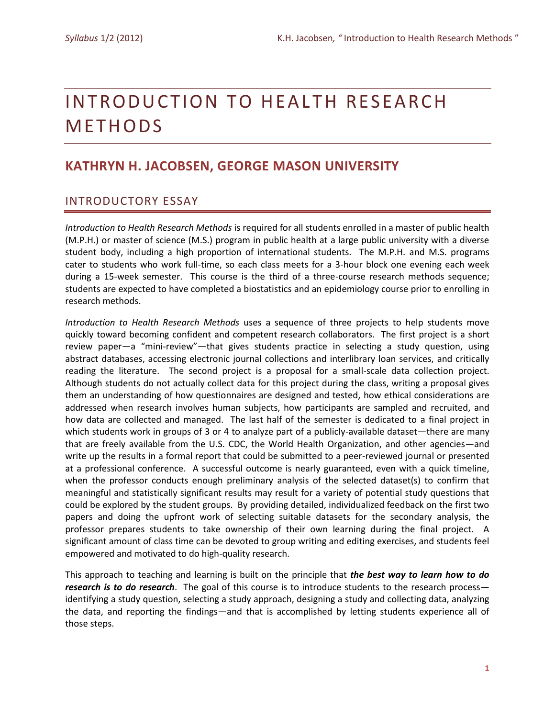# INTRODUCTION TO HEALTH RESEARCH **METHODS**

# **KATHRYN H. JACOBSEN, GEORGE MASON UNIVERSITY**

# INTRODUCTORY ESSAY

*Introduction to Health Research Methods* is required for all students enrolled in a master of public health (M.P.H.) or master of science (M.S.) program in public health at a large public university with a diverse student body, including a high proportion of international students. The M.P.H. and M.S. programs cater to students who work full-time, so each class meets for a 3-hour block one evening each week during a 15-week semester. This course is the third of a three-course research methods sequence; students are expected to have completed a biostatistics and an epidemiology course prior to enrolling in research methods.

*Introduction to Health Research Methods* uses a sequence of three projects to help students move quickly toward becoming confident and competent research collaborators. The first project is a short review paper—a "mini-review"—that gives students practice in selecting a study question, using abstract databases, accessing electronic journal collections and interlibrary loan services, and critically reading the literature. The second project is a proposal for a small-scale data collection project. Although students do not actually collect data for this project during the class, writing a proposal gives them an understanding of how questionnaires are designed and tested, how ethical considerations are addressed when research involves human subjects, how participants are sampled and recruited, and how data are collected and managed. The last half of the semester is dedicated to a final project in which students work in groups of 3 or 4 to analyze part of a publicly-available dataset—there are many that are freely available from the U.S. CDC, the World Health Organization, and other agencies—and write up the results in a formal report that could be submitted to a peer-reviewed journal or presented at a professional conference. A successful outcome is nearly guaranteed, even with a quick timeline, when the professor conducts enough preliminary analysis of the selected dataset(s) to confirm that meaningful and statistically significant results may result for a variety of potential study questions that could be explored by the student groups. By providing detailed, individualized feedback on the first two papers and doing the upfront work of selecting suitable datasets for the secondary analysis, the professor prepares students to take ownership of their own learning during the final project. A significant amount of class time can be devoted to group writing and editing exercises, and students feel empowered and motivated to do high-quality research.

This approach to teaching and learning is built on the principle that *the best way to learn how to do research is to do research*. The goal of this course is to introduce students to the research process identifying a study question, selecting a study approach, designing a study and collecting data, analyzing the data, and reporting the findings—and that is accomplished by letting students experience all of those steps.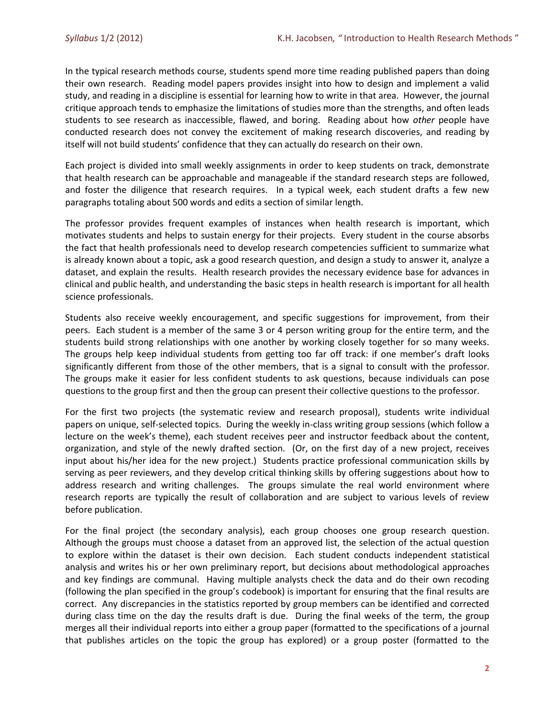In the typical research methods course, students spend more time reading published papers than doing their own research. Reading model papers provides insight into how to design and implement a valid study, and reading in a discipline is essential for learning how to write in that area. However, the journal critique approach tends to emphasize the limitations of studies more than the strengths, and often leads students to see research as inaccessible, flawed, and boring. Reading about how *other* people have conducted research does not convey the excitement of making research discoveries, and reading by itself will not build students' confidence that they can actually do research on their own.

Each project is divided into small weekly assignments in order to keep students on track, demonstrate that health research can be approachable and manageable if the standard research steps are followed, and foster the diligence that research requires. In a typical week, each student drafts a few new paragraphs totaling about 500 words and edits a section of similar length.

The professor provides frequent examples of instances when health research is important, which motivates students and helps to sustain energy for their projects. Every student in the course absorbs the fact that health professionals need to develop research competencies sufficient to summarize what is already known about a topic, ask a good research question, and design a study to answer it, analyze a dataset, and explain the results. Health research provides the necessary evidence base for advances in clinical and public health, and understanding the basic steps in health research is important for all health science professionals.

Students also receive weekly encouragement, and specific suggestions for improvement, from their peers. Each student is a member of the same 3 or 4 person writing group for the entire term, and the students build strong relationships with one another by working closely together for so many weeks. The groups help keep individual students from getting too far off track: if one member's draft looks significantly different from those of the other members, that is a signal to consult with the professor. The groups make it easier for less confident students to ask questions, because individuals can pose questions to the group first and then the group can present their collective questions to the professor.

For the first two projects (the systematic review and research proposal), students write individual papers on unique, self-selected topics. During the weekly in-class writing group sessions (which follow a lecture on the week's theme), each student receives peer and instructor feedback about the content, organization, and style of the newly drafted section. (Or, on the first day of a new project, receives input about his/her idea for the new project.) Students practice professional communication skills by serving as peer reviewers, and they develop critical thinking skills by offering suggestions about how to address research and writing challenges. The groups simulate the real world environment where research reports are typically the result of collaboration and are subject to various levels of review before publication.

For the final project (the secondary analysis), each group chooses one group research question. Although the groups must choose a dataset from an approved list, the selection of the actual question to explore within the dataset is their own decision. Each student conducts independent statistical analysis and writes his or her own preliminary report, but decisions about methodological approaches and key findings are communal. Having multiple analysts check the data and do their own recoding (following the plan specified in the group's codebook) is important for ensuring that the final results are correct. Any discrepancies in the statistics reported by group members can be identified and corrected during class time on the day the results draft is due. During the final weeks of the term, the group merges all their individual reports into either a group paper (formatted to the specifications of a journal that publishes articles on the topic the group has explored) or a group poster (formatted to the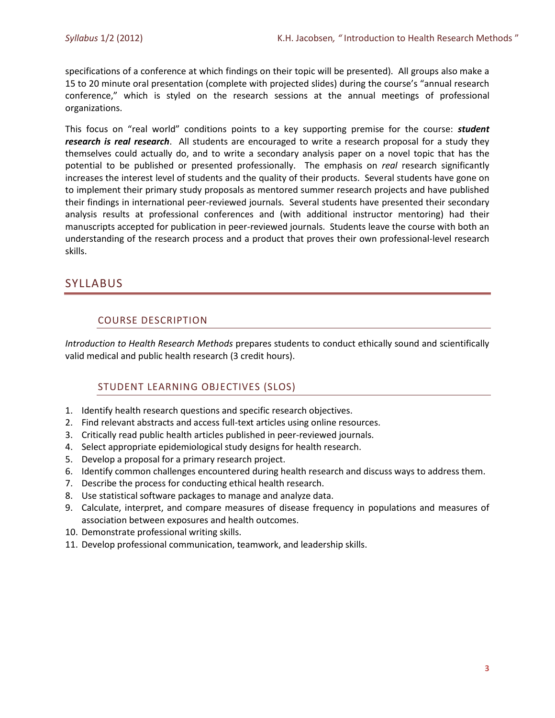specifications of a conference at which findings on their topic will be presented). All groups also make a 15 to 20 minute oral presentation (complete with projected slides) during the course's "annual research conference," which is styled on the research sessions at the annual meetings of professional organizations.

This focus on "real world" conditions points to a key supporting premise for the course: *student research is real research*. All students are encouraged to write a research proposal for a study they themselves could actually do, and to write a secondary analysis paper on a novel topic that has the potential to be published or presented professionally. The emphasis on *real* research significantly increases the interest level of students and the quality of their products. Several students have gone on to implement their primary study proposals as mentored summer research projects and have published their findings in international peer-reviewed journals. Several students have presented their secondary analysis results at professional conferences and (with additional instructor mentoring) had their manuscripts accepted for publication in peer-reviewed journals. Students leave the course with both an understanding of the research process and a product that proves their own professional-level research skills.

# SYLLABUS

# COURSE DESCRIPTION

*Introduction to Health Research Methods* prepares students to conduct ethically sound and scientifically valid medical and public health research (3 credit hours).

# STUDENT LEARNING OBJECTIVES (SLOS)

- 1. Identify health research questions and specific research objectives.
- 2. Find relevant abstracts and access full-text articles using online resources.
- 3. Critically read public health articles published in peer-reviewed journals.
- 4. Select appropriate epidemiological study designs for health research.
- 5. Develop a proposal for a primary research project.
- 6. Identify common challenges encountered during health research and discuss ways to address them.
- 7. Describe the process for conducting ethical health research.
- 8. Use statistical software packages to manage and analyze data.
- 9. Calculate, interpret, and compare measures of disease frequency in populations and measures of association between exposures and health outcomes.
- 10. Demonstrate professional writing skills.
- 11. Develop professional communication, teamwork, and leadership skills.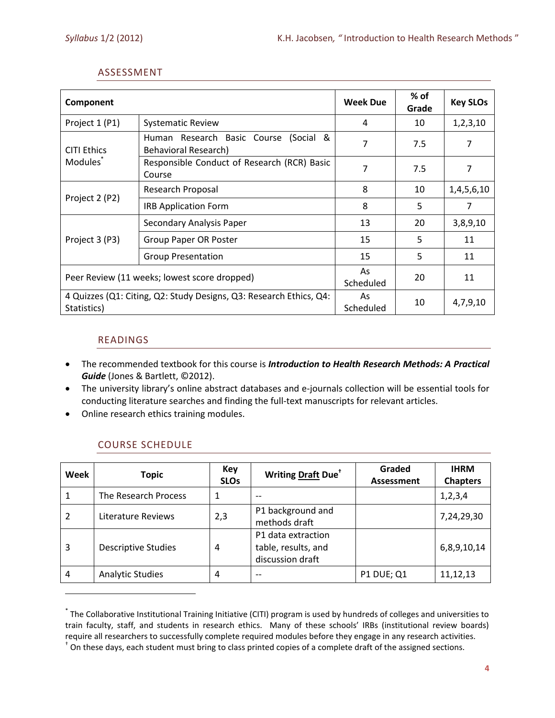## ASSESSMENT

| Component                                                                         |                                                               | <b>Week Due</b> | % of<br>Grade | <b>Key SLOs</b> |
|-----------------------------------------------------------------------------------|---------------------------------------------------------------|-----------------|---------------|-----------------|
| Project 1 (P1)                                                                    | <b>Systematic Review</b>                                      | 4               | 10            | 1,2,3,10        |
| <b>CITI Ethics</b><br>Modules <sup>®</sup>                                        | Human Research Basic Course (Social &<br>Behavioral Research) | 7               | 7.5           | 7               |
|                                                                                   | Responsible Conduct of Research (RCR) Basic<br>Course         | 7               | 7.5           | 7               |
|                                                                                   | Research Proposal                                             | 8               | 10            | 1,4,5,6,10      |
| Project 2 (P2)                                                                    | <b>IRB Application Form</b>                                   | 8               | 5             | 7               |
|                                                                                   | Secondary Analysis Paper                                      | 13              | 20            | 3,8,9,10        |
| Project 3 (P3)                                                                    | <b>Group Paper OR Poster</b>                                  | 15              | 5             | 11              |
|                                                                                   | <b>Group Presentation</b>                                     | 15              | 5             | 11              |
| Peer Review (11 weeks; lowest score dropped)                                      |                                                               | As<br>Scheduled | 20            | 11              |
| 4 Quizzes (Q1: Citing, Q2: Study Designs, Q3: Research Ethics, Q4:<br>Statistics) |                                                               | As<br>Scheduled | 10            | 4,7,9,10        |

## READINGS

 $\overline{\phantom{a}}$ 

- The recommended textbook for this course is *Introduction to Health Research Methods: A Practical Guide* (Jones & Bartlett, ©2012).
- The university library's online abstract databases and e-journals collection will be essential tools for conducting literature searches and finding the full-text manuscripts for relevant articles.
- Online research ethics training modules.

| Week | <b>Topic</b>               | Key<br><b>SLOs</b> | Writing Draft Due                                             | Graded<br><b>Assessment</b> | <b>IHRM</b><br><b>Chapters</b> |
|------|----------------------------|--------------------|---------------------------------------------------------------|-----------------------------|--------------------------------|
|      | The Research Process       |                    | $- -$                                                         |                             | 1, 2, 3, 4                     |
| 2    | Literature Reviews         | 2,3                | P1 background and<br>methods draft                            |                             | 7,24,29,30                     |
| 3    | <b>Descriptive Studies</b> | 4                  | P1 data extraction<br>table, results, and<br>discussion draft |                             | 6,8,9,10,14                    |
| 4    | <b>Analytic Studies</b>    | 4                  | --                                                            | <b>P1 DUE; Q1</b>           | 11,12,13                       |

# COURSE SCHEDULE

<sup>\*</sup> The Collaborative Institutional Training Initiative (CITI) program is used by hundreds of colleges and universities to train faculty, staff, and students in research ethics. Many of these schools' IRBs (institutional review boards) require all researchers to successfully complete required modules before they engage in any research activities.

<sup>†</sup> On these days, each student must bring to class printed copies of a complete draft of the assigned sections.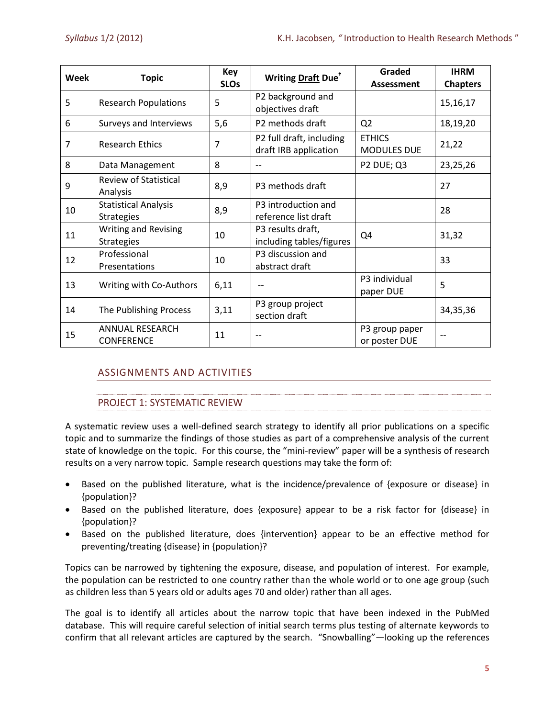| <b>Week</b> | <b>Topic</b>                                     | Key<br><b>SLOs</b> | Writing Draft Due <sup>+</sup>                    | Graded<br>Assessment                | <b>IHRM</b><br><b>Chapters</b> |
|-------------|--------------------------------------------------|--------------------|---------------------------------------------------|-------------------------------------|--------------------------------|
| 5           | <b>Research Populations</b>                      | 5                  | P2 background and<br>objectives draft             |                                     | 15,16,17                       |
| 6           | Surveys and Interviews                           | 5,6                | P2 methods draft                                  | Q <sub>2</sub>                      | 18,19,20                       |
| 7           | <b>Research Ethics</b>                           | 7                  | P2 full draft, including<br>draft IRB application | <b>ETHICS</b><br><b>MODULES DUE</b> | 21,22                          |
| 8           | Data Management                                  | 8                  | $-$                                               | P2 DUE; Q3                          | 23,25,26                       |
| 9           | <b>Review of Statistical</b><br>Analysis         | 8,9                | P3 methods draft                                  |                                     | 27                             |
| 10          | <b>Statistical Analysis</b><br><b>Strategies</b> | 8,9                | P3 introduction and<br>reference list draft       |                                     | 28                             |
| 11          | <b>Writing and Revising</b><br><b>Strategies</b> | 10                 | P3 results draft,<br>including tables/figures     | Q4                                  | 31,32                          |
| 12          | Professional<br>Presentations                    | 10                 | P3 discussion and<br>abstract draft               |                                     | 33                             |
| 13          | Writing with Co-Authors                          | 6,11               |                                                   | P3 individual<br>paper DUE          | 5                              |
| 14          | The Publishing Process                           | 3,11               | P3 group project<br>section draft                 |                                     | 34, 35, 36                     |
| 15          | <b>ANNUAL RESEARCH</b><br><b>CONFERENCE</b>      | 11                 | --                                                | P3 group paper<br>or poster DUE     |                                |

# ASSIGNMENTS AND ACTIVITIES

# PROJECT 1: SYSTEMATIC REVIEW

A systematic review uses a well-defined search strategy to identify all prior publications on a specific topic and to summarize the findings of those studies as part of a comprehensive analysis of the current state of knowledge on the topic. For this course, the "mini-review" paper will be a synthesis of research results on a very narrow topic. Sample research questions may take the form of:

- Based on the published literature, what is the incidence/prevalence of {exposure or disease} in {population}?
- Based on the published literature, does {exposure} appear to be a risk factor for {disease} in {population}?
- Based on the published literature, does {intervention} appear to be an effective method for preventing/treating {disease} in {population}?

Topics can be narrowed by tightening the exposure, disease, and population of interest. For example, the population can be restricted to one country rather than the whole world or to one age group (such as children less than 5 years old or adults ages 70 and older) rather than all ages.

The goal is to identify all articles about the narrow topic that have been indexed in the PubMed database. This will require careful selection of initial search terms plus testing of alternate keywords to confirm that all relevant articles are captured by the search. "Snowballing"—looking up the references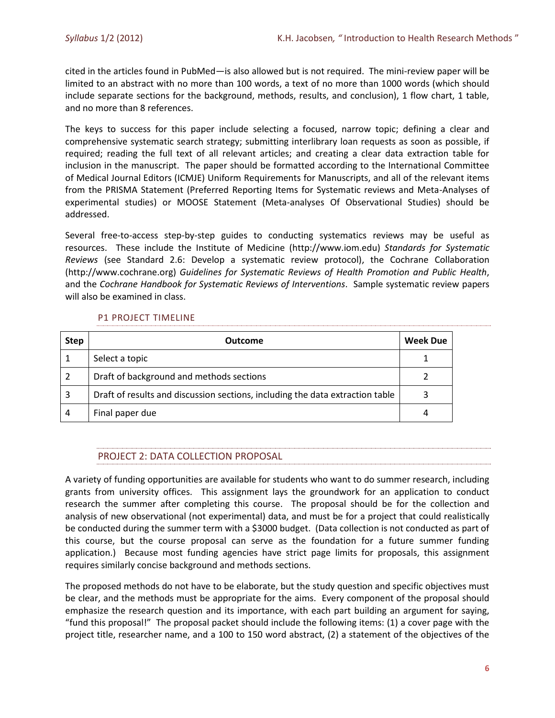cited in the articles found in PubMed—is also allowed but is not required. The mini-review paper will be limited to an abstract with no more than 100 words, a text of no more than 1000 words (which should include separate sections for the background, methods, results, and conclusion), 1 flow chart, 1 table, and no more than 8 references.

The keys to success for this paper include selecting a focused, narrow topic; defining a clear and comprehensive systematic search strategy; submitting interlibrary loan requests as soon as possible, if required; reading the full text of all relevant articles; and creating a clear data extraction table for inclusion in the manuscript. The paper should be formatted according to the International Committee of Medical Journal Editors (ICMJE) Uniform Requirements for Manuscripts, and all of the relevant items from the PRISMA Statement (Preferred Reporting Items for Systematic reviews and Meta-Analyses of experimental studies) or MOOSE Statement (Meta-analyses Of Observational Studies) should be addressed.

Several free-to-access step-by-step guides to conducting systematics reviews may be useful as resources. These include the Institute of Medicine (http://www.iom.edu) *Standards for Systematic Reviews* (see Standard 2.6: Develop a systematic review protocol), the Cochrane Collaboration (http://www.cochrane.org) *Guidelines for Systematic Reviews of Health Promotion and Public Health*, and the *Cochrane Handbook for Systematic Reviews of Interventions*. Sample systematic review papers will also be examined in class.

## P1 PROJECT TIMELINE

| <b>Step</b> | <b>Outcome</b>                                                                | <b>Week Due</b> |
|-------------|-------------------------------------------------------------------------------|-----------------|
|             | Select a topic                                                                |                 |
| 2           | Draft of background and methods sections                                      |                 |
| 3           | Draft of results and discussion sections, including the data extraction table |                 |
| 4           | Final paper due                                                               | 4               |

# PROJECT 2: DATA COLLECTION PROPOSAL

A variety of funding opportunities are available for students who want to do summer research, including grants from university offices. This assignment lays the groundwork for an application to conduct research the summer after completing this course. The proposal should be for the collection and analysis of new observational (not experimental) data, and must be for a project that could realistically be conducted during the summer term with a \$3000 budget. (Data collection is not conducted as part of this course, but the course proposal can serve as the foundation for a future summer funding application.) Because most funding agencies have strict page limits for proposals, this assignment requires similarly concise background and methods sections.

The proposed methods do not have to be elaborate, but the study question and specific objectives must be clear, and the methods must be appropriate for the aims. Every component of the proposal should emphasize the research question and its importance, with each part building an argument for saying, "fund this proposal!" The proposal packet should include the following items: (1) a cover page with the project title, researcher name, and a 100 to 150 word abstract, (2) a statement of the objectives of the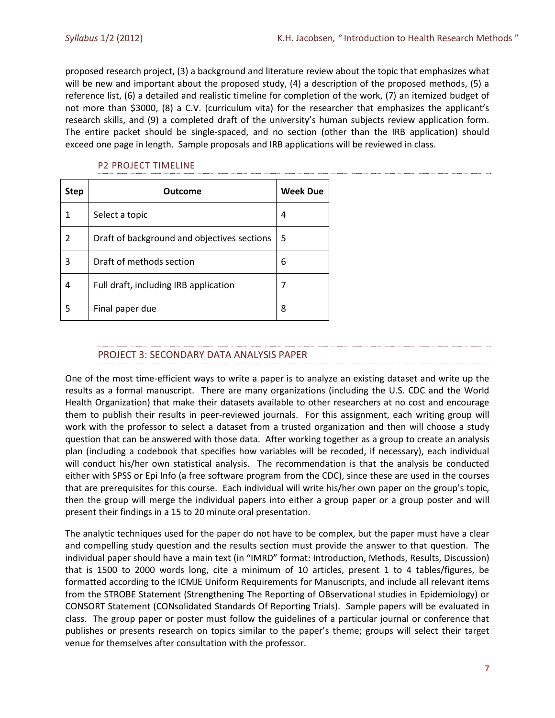proposed research project, (3) a background and literature review about the topic that emphasizes what will be new and important about the proposed study, (4) a description of the proposed methods, (5) a reference list, (6) a detailed and realistic timeline for completion of the work, (7) an itemized budget of not more than \$3000, (8) a C.V. (curriculum vita) for the researcher that emphasizes the applicant's research skills, and (9) a completed draft of the university's human subjects review application form. The entire packet should be single-spaced, and no section (other than the IRB application) should exceed one page in length. Sample proposals and IRB applications will be reviewed in class.

#### P2 PROJECT TIMELINE

| <b>Step</b> | Outcome                                     | <b>Week Due</b> |
|-------------|---------------------------------------------|-----------------|
| 1           | Select a topic                              | 4               |
| 2           | Draft of background and objectives sections | 5               |
| 3           | Draft of methods section                    | 6               |
| 4           | Full draft, including IRB application       | 7               |
| 5           | Final paper due                             | 8               |

## PROJECT 3: SECONDARY DATA ANALYSIS PAPER

One of the most time-efficient ways to write a paper is to analyze an existing dataset and write up the results as a formal manuscript. There are many organizations (including the U.S. CDC and the World Health Organization) that make their datasets available to other researchers at no cost and encourage them to publish their results in peer-reviewed journals. For this assignment, each writing group will work with the professor to select a dataset from a trusted organization and then will choose a study question that can be answered with those data. After working together as a group to create an analysis plan (including a codebook that specifies how variables will be recoded, if necessary), each individual will conduct his/her own statistical analysis. The recommendation is that the analysis be conducted either with SPSS or Epi Info (a free software program from the CDC), since these are used in the courses that are prerequisites for this course. Each individual will write his/her own paper on the group's topic, then the group will merge the individual papers into either a group paper or a group poster and will present their findings in a 15 to 20 minute oral presentation.

The analytic techniques used for the paper do not have to be complex, but the paper must have a clear and compelling study question and the results section must provide the answer to that question. The individual paper should have a main text (in "IMRD" format: Introduction, Methods, Results, Discussion) that is 1500 to 2000 words long, cite a minimum of 10 articles, present 1 to 4 tables/figures, be formatted according to the ICMJE Uniform Requirements for Manuscripts, and include all relevant items from the STROBE Statement (Strengthening The Reporting of OBservational studies in Epidemiology) or CONSORT Statement (CONsolidated Standards Of Reporting Trials). Sample papers will be evaluated in class. The group paper or poster must follow the guidelines of a particular journal or conference that publishes or presents research on topics similar to the paper's theme; groups will select their target venue for themselves after consultation with the professor.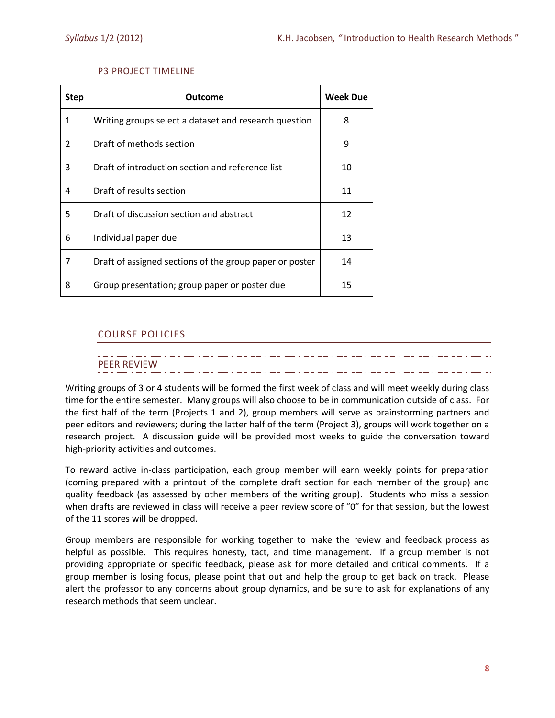#### P3 PROJECT TIMELINE

| <b>Step</b> | Outcome                                                 | <b>Week Due</b> |
|-------------|---------------------------------------------------------|-----------------|
| 1           | Writing groups select a dataset and research question   | 8               |
| 2           | Draft of methods section                                | 9               |
| 3           | Draft of introduction section and reference list        | 10              |
| 4           | Draft of results section                                | 11              |
| 5           | Draft of discussion section and abstract                | 12              |
| 6           | Individual paper due                                    | 13              |
| 7           | Draft of assigned sections of the group paper or poster | 14              |
| 8           | Group presentation; group paper or poster due           | 15              |

# COURSE POLICIES

#### PEER REVIEW

Writing groups of 3 or 4 students will be formed the first week of class and will meet weekly during class time for the entire semester. Many groups will also choose to be in communication outside of class. For the first half of the term (Projects 1 and 2), group members will serve as brainstorming partners and peer editors and reviewers; during the latter half of the term (Project 3), groups will work together on a research project. A discussion guide will be provided most weeks to guide the conversation toward high-priority activities and outcomes.

To reward active in-class participation, each group member will earn weekly points for preparation (coming prepared with a printout of the complete draft section for each member of the group) and quality feedback (as assessed by other members of the writing group). Students who miss a session when drafts are reviewed in class will receive a peer review score of "0" for that session, but the lowest of the 11 scores will be dropped.

Group members are responsible for working together to make the review and feedback process as helpful as possible. This requires honesty, tact, and time management. If a group member is not providing appropriate or specific feedback, please ask for more detailed and critical comments. If a group member is losing focus, please point that out and help the group to get back on track. Please alert the professor to any concerns about group dynamics, and be sure to ask for explanations of any research methods that seem unclear.